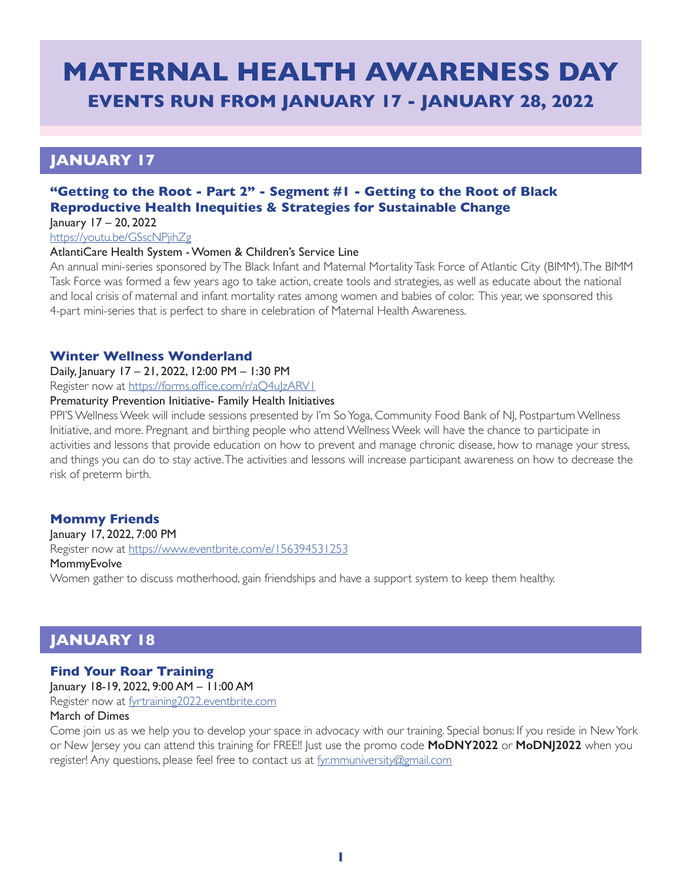# **MATERNAL HEALTH AWARENESS DAY EVENTS RUN FROM JANUARY 17 - JANUARY 28, 2022**

## **JANUARY 17**

## **"Getting to the Root - Part 2" - Segment #1 - Getting to the Root of Black Reproductive Health Inequities & Strategies for Sustainable Change**

January 17 – 20, 2022

<https://youtu.be/GSscNPjihZg>

#### AtlantiCare Health System - Women & Children's Service Line

An annual mini-series sponsored by The Black Infant and Maternal Mortality Task Force of Atlantic City (BIMM). The BIMM Task Force was formed a few years ago to take action, create tools and strategies, as well as educate about the national and local crisis of maternal and infant mortality rates among women and babies of color. This year, we sponsored this 4-part mini-series that is perfect to share in celebration of Maternal Health Awareness.

#### **Winter Wellness Wonderland**

Daily, January 17 – 21, 2022, 12:00 PM – 1:30 PM

Register now at https://forms.office.com/r/aQ4u|zARV1

#### Prematurity Prevention Initiative- Family Health Initiatives

PPI'S Wellness Week will include sessions presented by I'm So Yoga, Community Food Bank of NJ, Postpartum Wellness Initiative, and more. Pregnant and birthing people who attend Wellness Week will have the chance to participate in activities and lessons that provide education on how to prevent and manage chronic disease, how to manage your stress, and things you can do to stay active. The activities and lessons will increase participant awareness on how to decrease the risk of preterm birth.

## **Mommy Friends**

January 17, 2022, 7:00 PM Register now at <https://www.eventbrite.com/e/156394531253> **MommyEvolve** Women gather to discuss motherhood, gain friendships and have a support system to keep them healthy.

## **JANUARY 18**

## **Find Your Roar Training**

January 18-19, 2022, 9:00 AM – 11:00 AM

Register now at [fyrtraining2022.eventbrite.com](http://fyrtraining2022.eventbrite.com)

#### March of Dimes

Come join us as we help you to develop your space in advocacy with our training. Special bonus: If you reside in New York or New Jersey you can attend this training for FREE!! Just use the promo code **MoDNY2022** or **MoDNJ2022** when you register! Any questions, please feel free to contact us at [fyr.mmuniversity@gmail.com](mailto:fyr.mmuniversity@gmail.com)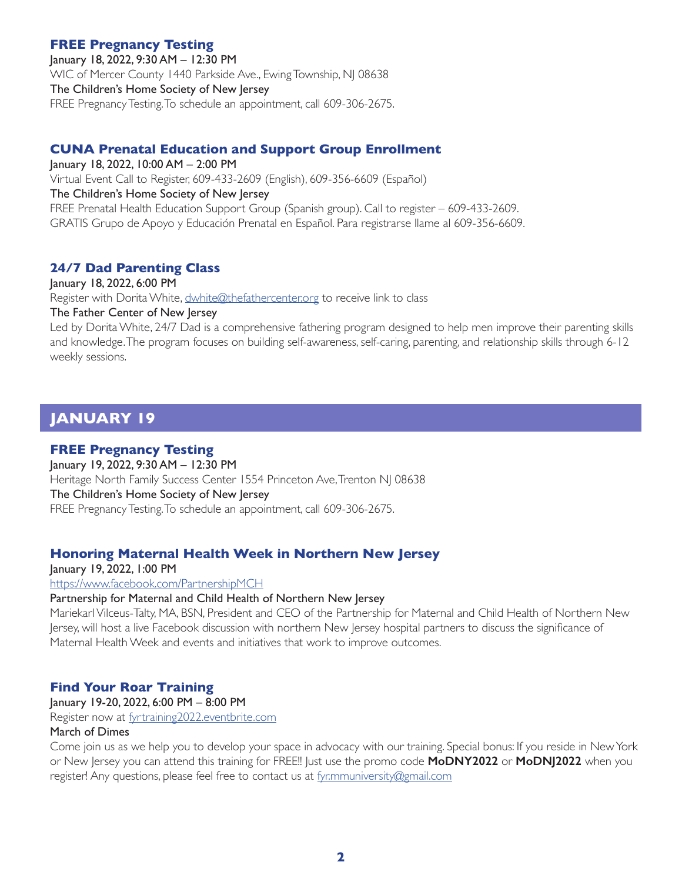### **FREE Pregnancy Testing**

January 18, 2022, 9:30 AM – 12:30 PM WIC of Mercer County 1440 Parkside Ave., Ewing Township, NJ 08638 The Children's Home Society of New Jersey FREE Pregnancy Testing. To schedule an appointment, call 609-306-2675.

## **CUNA Prenatal Education and Support Group Enrollment**

January 18, 2022, 10:00 AM – 2:00 PM Virtual Event Call to Register, 609-433-2609 (English), 609-356-6609 (Español) The Children's Home Society of New Jersey FREE Prenatal Health Education Support Group (Spanish group). Call to register – 609-433-2609. GRATIS Grupo de Apoyo y Educación Prenatal en Español. Para registrarse llame al 609-356-6609.

## **24/7 Dad Parenting Class**

January 18, 2022, 6:00 PM Register with Dorita White, [dwhite@thefathercenter.org](mailto:dwhite@thefathercenter.org) to receive link to class

#### The Father Center of New Jersey

Led by Dorita White, 24/7 Dad is a comprehensive fathering program designed to help men improve their parenting skills and knowledge. The program focuses on building self-awareness, self-caring, parenting, and relationship skills through 6-12 weekly sessions.

## **JANUARY 19**

#### **FREE Pregnancy Testing**

January 19, 2022, 9:30 AM – 12:30 PM Heritage North Family Success Center 1554 Princeton Ave, Trenton NJ 08638 The Children's Home Society of New Jersey FREE Pregnancy Testing. To schedule an appointment, call 609-306-2675.

## **Honoring Maternal Health Week in Northern New Jersey**

January 19, 2022, 1:00 PM <https://www.facebook.com/PartnershipMCH>

#### Partnership for Maternal and Child Health of Northern New Jersey

Mariekarl Vilceus-Talty, MA, BSN, President and CEO of the Partnership for Maternal and Child Health of Northern New Jersey, will host a live Facebook discussion with northern New Jersey hospital partners to discuss the significance of Maternal Health Week and events and initiatives that work to improve outcomes.

## **Find Your Roar Training**

January 19-20, 2022, 6:00 PM – 8:00 PM

Register now at [fyrtraining2022.eventbrite.com](http://fyrtraining2022.eventbrite.com)

#### March of Dimes

Come join us as we help you to develop your space in advocacy with our training. Special bonus: If you reside in New York or New Jersey you can attend this training for FREE!! Just use the promo code **MoDNY2022** or **MoDNJ2022** when you register! Any questions, please feel free to contact us at [fyr.mmuniversity@gmail.com](mailto:fyr.mmuniversity@gmail.com)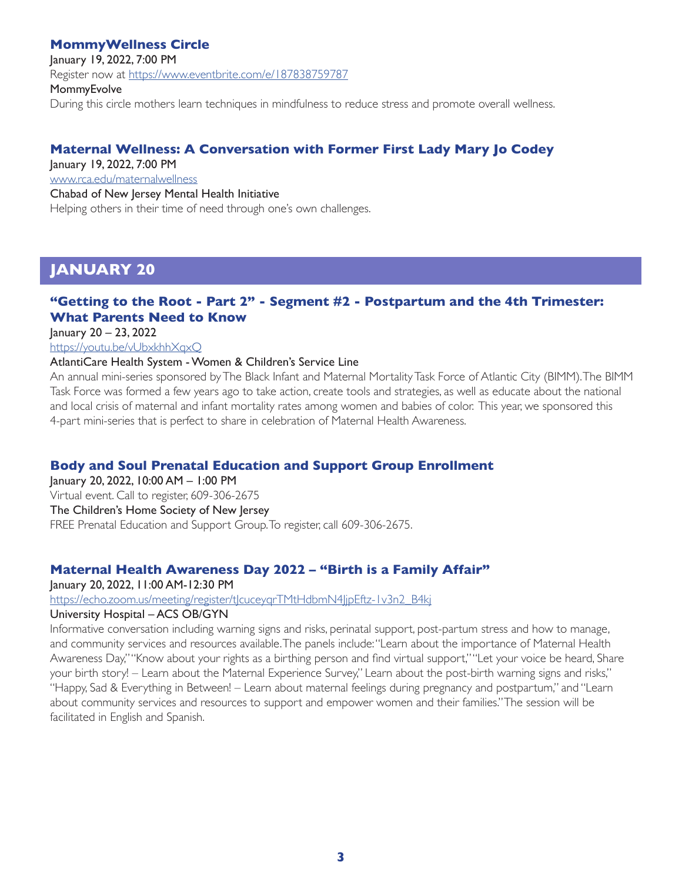### **MommyWellness Circle**

January 19, 2022, 7:00 PM

Register now at <https://www.eventbrite.com/e/187838759787>

**MommyEvolve** 

During this circle mothers learn techniques in mindfulness to reduce stress and promote overall wellness.

## **Maternal Wellness: A Conversation with Former First Lady Mary Jo Codey**

January 19, 2022, 7:00 PM

[www.rca.edu/maternalwellness](http://www.rca.edu/maternalwellness)

Chabad of New Jersey Mental Health Initiative

Helping others in their time of need through one's own challenges.

## **JANUARY 20**

## **"Getting to the Root - Part 2" - Segment #2 - Postpartum and the 4th Trimester: What Parents Need to Know**

January 20 – 23, 2022

<https://youtu.be/vUbxkhhXqxQ>

#### AtlantiCare Health System - Women & Children's Service Line

An annual mini-series sponsored by The Black Infant and Maternal Mortality Task Force of Atlantic City (BIMM). The BIMM Task Force was formed a few years ago to take action, create tools and strategies, as well as educate about the national and local crisis of maternal and infant mortality rates among women and babies of color. This year, we sponsored this 4-part mini-series that is perfect to share in celebration of Maternal Health Awareness.

## **Body and Soul Prenatal Education and Support Group Enrollment**

January 20, 2022, 10:00 AM – 1:00 PM Virtual event. Call to register, 609-306-2675 The Children's Home Society of New Jersey FREE Prenatal Education and Support Group. To register, call 609-306-2675.

## **Maternal Health Awareness Day 2022 – "Birth is a Family Affair"**

January 20, 2022, 11:00 AM-12:30 PM

https://echo.zoom.us/meeting/register/t|cuceyqrTMtHdbmN4|jpEftz-1v3n2\_B4kj

#### University Hospital – ACS OB/GYN

Informative conversation including warning signs and risks, perinatal support, post-partum stress and how to manage, and community services and resources available. The panels include: "Learn about the importance of Maternal Health Awareness Day," "Know about your rights as a birthing person and find virtual support," "Let your voice be heard, Share your birth story! – Learn about the Maternal Experience Survey," Learn about the post-birth warning signs and risks," "Happy, Sad & Everything in Between! – Learn about maternal feelings during pregnancy and postpartum," and "Learn about community services and resources to support and empower women and their families." The session will be facilitated in English and Spanish.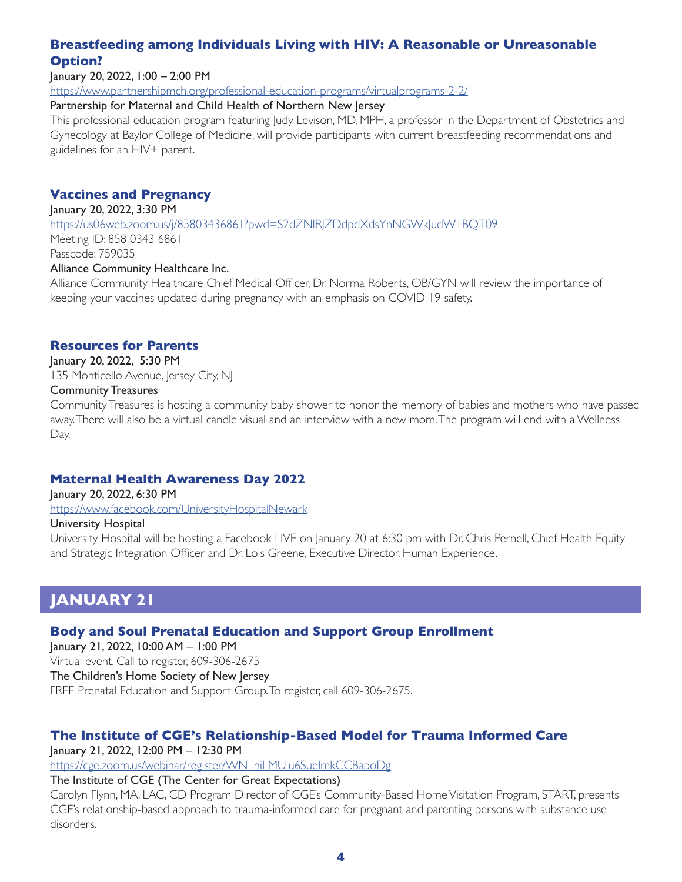## **Breastfeeding among Individuals Living with HIV: A Reasonable or Unreasonable Option?**

January 20, 2022, 1:00 – 2:00 PM

<https://www.partnershipmch.org/professional-education-programs/virtualprograms-2-2/>

#### Partnership for Maternal and Child Health of Northern New Jersey

This professional education program featuring Judy Levison, MD, MPH, a professor in the Department of Obstetrics and Gynecology at Baylor College of Medicine, will provide participants with current breastfeeding recommendations and guidelines for an HIV+ parent.

## **Vaccines and Pregnancy**

January 20, 2022, 3:30 PM

[https://us06web.zoom.us/j/85803436861?pwd=S2dZNlRJZDdpdXdsYnNGWkJudW1BQT09](https://us06web.zoom.us/j/85803436861?pwd=S2dZNlRJZDdpdXdsYnNGWkJudW1BQT09  ) 

Meeting ID: 858 0343 6861 Passcode: 759035

#### Alliance Community Healthcare Inc.

Alliance Community Healthcare Chief Medical Officer, Dr. Norma Roberts, OB/GYN will review the importance of keeping your vaccines updated during pregnancy with an emphasis on COVID 19 safety.

#### **Resources for Parents**

January 20, 2022, 5:30 PM

135 Monticello Avenue, Jersey City, NJ

#### Community Treasures

Community Treasures is hosting a community baby shower to honor the memory of babies and mothers who have passed away. There will also be a virtual candle visual and an interview with a new mom. The program will end with a Wellness Day.

## **Maternal Health Awareness Day 2022**

January 20, 2022, 6:30 PM <https://www.facebook.com/UniversityHospitalNewark>

#### University Hospital

University Hospital will be hosting a Facebook LIVE on January 20 at 6:30 pm with Dr. Chris Pernell, Chief Health Equity and Strategic Integration Officer and Dr. Lois Greene, Executive Director, Human Experience.

## **JANUARY 21**

## **Body and Soul Prenatal Education and Support Group Enrollment**

January 21, 2022, 10:00 AM – 1:00 PM Virtual event. Call to register, 609-306-2675 The Children's Home Society of New Jersey FREE Prenatal Education and Support Group. To register, call 609-306-2675.

## **The Institute of CGE's Relationship-Based Model for Trauma Informed Care**

January 21, 2022, 12:00 PM – 12:30 PM

[https://cge.zoom.us/webinar/register/WN\\_niLMUiu6SueImkCCBapoDg](https://cge.zoom.us/webinar/register/WN_niLMUiu6SueImkCCBapoDg)

### The Institute of CGE (The Center for Great Expectations)

Carolyn Flynn, MA, LAC, CD Program Director of CGE's Community-Based Home Visitation Program, START, presents CGE's relationship-based approach to trauma-informed care for pregnant and parenting persons with substance use disorders.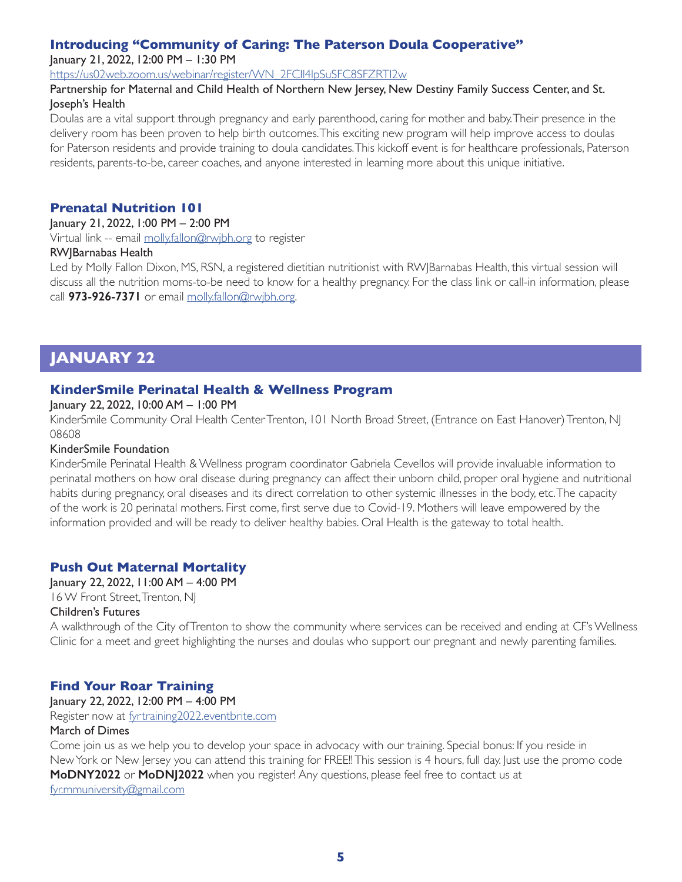### **Introducing "Community of Caring: The Paterson Doula Cooperative"**

January 21, 2022, 12:00 PM – 1:30 PM

[https://us02web.zoom.us/webinar/register/WN\\_2FCIl4lpSuSFC8SFZRTI2w](https://us02web.zoom.us/webinar/register/WN_2FCIl4lpSuSFC8SFZRTI2w)

#### Partnership for Maternal and Child Health of Northern New Jersey, New Destiny Family Success Center, and St. Joseph's Health

Doulas are a vital support through pregnancy and early parenthood, caring for mother and baby. Their presence in the delivery room has been proven to help birth outcomes. This exciting new program will help improve access to doulas for Paterson residents and provide training to doula candidates. This kickoff event is for healthcare professionals, Paterson residents, parents-to-be, career coaches, and anyone interested in learning more about this unique initiative.

#### **Prenatal Nutrition 101**

#### January 21, 2022, 1:00 PM – 2:00 PM

Virtual link -- email [molly.fallon@rwjbh.org](mailto:molly.fallon@rwjbh.org) to register

#### RWJBarnabas Health

Led by Molly Fallon Dixon, MS, RSN, a registered dietitian nutritionist with RWJBarnabas Health, this virtual session will discuss all the nutrition moms-to-be need to know for a healthy pregnancy. For the class link or call-in information, please call **973-926-7371** or email [molly.fallon@rwjbh.org.](mailto:molly.fallon@rwjbh.org)

## **JANUARY 22**

## **KinderSmile Perinatal Health & Wellness Program**

#### January 22, 2022, 10:00 AM – 1:00 PM

KinderSmile Community Oral Health Center Trenton, 101 North Broad Street, (Entrance on East Hanover) Trenton, NJ 08608

#### KinderSmile Foundation

KinderSmile Perinatal Health & Wellness program coordinator Gabriela Cevellos will provide invaluable information to perinatal mothers on how oral disease during pregnancy can affect their unborn child, proper oral hygiene and nutritional habits during pregnancy, oral diseases and its direct correlation to other systemic illnesses in the body, etc. The capacity of the work is 20 perinatal mothers. First come, first serve due to Covid-19. Mothers will leave empowered by the information provided and will be ready to deliver healthy babies. Oral Health is the gateway to total health.

## **Push Out Maternal Mortality**

January 22, 2022, 11:00 AM – 4:00 PM 16 W Front Street, Trenton, NJ

#### Children's Futures

A walkthrough of the City of Trenton to show the community where services can be received and ending at CF's Wellness Clinic for a meet and greet highlighting the nurses and doulas who support our pregnant and newly parenting families.

## **Find Your Roar Training**

January 22, 2022, 12:00 PM – 4:00 PM

Register now at [fyrtraining2022.eventbrite.com](http://fyrtraining2022.eventbrite.com)

#### March of Dimes

Come join us as we help you to develop your space in advocacy with our training. Special bonus: If you reside in New York or New Jersey you can attend this training for FREE!! This session is 4 hours, full day. Just use the promo code **MoDNY2022** or **MoDNJ2022** when you register! Any questions, please feel free to contact us at [fyr.mmuniversity@gmail.com](mailto:fyr.mmuniversity@gmail.com)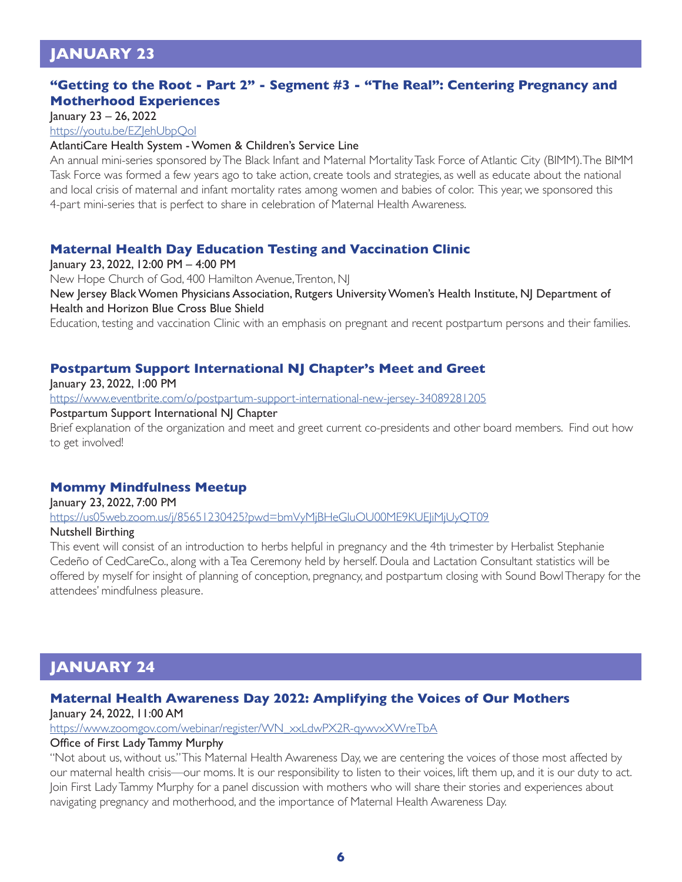## **JANUARY 23**

### **"Getting to the Root - Part 2" - Segment #3 - "The Real": Centering Pregnancy and Motherhood Experiences**

January 23 – 26, 2022

https://youtu.be/EZJehUbpQol

#### AtlantiCare Health System - Women & Children's Service Line

An annual mini-series sponsored by The Black Infant and Maternal Mortality Task Force of Atlantic City (BIMM). The BIMM Task Force was formed a few years ago to take action, create tools and strategies, as well as educate about the national and local crisis of maternal and infant mortality rates among women and babies of color. This year, we sponsored this 4-part mini-series that is perfect to share in celebration of Maternal Health Awareness.

#### **Maternal Health Day Education Testing and Vaccination Clinic**

January 23, 2022, 12:00 PM – 4:00 PM

New Hope Church of God, 400 Hamilton Avenue, Trenton, NJ

New Jersey Black Women Physicians Association, Rutgers University Women's Health Institute, NJ Department of Health and Horizon Blue Cross Blue Shield

Education, testing and vaccination Clinic with an emphasis on pregnant and recent postpartum persons and their families.

### **Postpartum Support International NJ Chapter's Meet and Greet**

January 23, 2022, 1:00 PM

<https://www.eventbrite.com/o/postpartum-support-international-new-jersey-34089281205>

#### Postpartum Support International NJ Chapter

Brief explanation of the organization and meet and greet current co-presidents and other board members. Find out how to get involved!

#### **Mommy Mindfulness Meetup**

January 23, 2022, 7:00 PM

<https://us05web.zoom.us/j/85651230425?pwd=bmVyMjBHeGluOU00ME9KUEJiMjUyQT09>

#### Nutshell Birthing

This event will consist of an introduction to herbs helpful in pregnancy and the 4th trimester by Herbalist Stephanie Cedeño of CedCareCo., along with a Tea Ceremony held by herself. Doula and Lactation Consultant statistics will be offered by myself for insight of planning of conception, pregnancy, and postpartum closing with Sound Bowl Therapy for the attendees' mindfulness pleasure.

## **JANUARY 24**

## **Maternal Health Awareness Day 2022: Amplifying the Voices of Our Mothers**

January 24, 2022, 11:00 AM

[https://www.zoomgov.com/webinar/register/WN\\_xxLdwPX2R-qywvxXWreTbA](https://www.zoomgov.com/webinar/register/WN_xxLdwPX2R-qywvxXWreTbA)

#### Office of First Lady Tammy Murphy

"Not about us, without us." This Maternal Health Awareness Day, we are centering the voices of those most affected by our maternal health crisis—our moms. It is our responsibility to listen to their voices, lift them up, and it is our duty to act. Join First Lady Tammy Murphy for a panel discussion with mothers who will share their stories and experiences about navigating pregnancy and motherhood, and the importance of Maternal Health Awareness Day.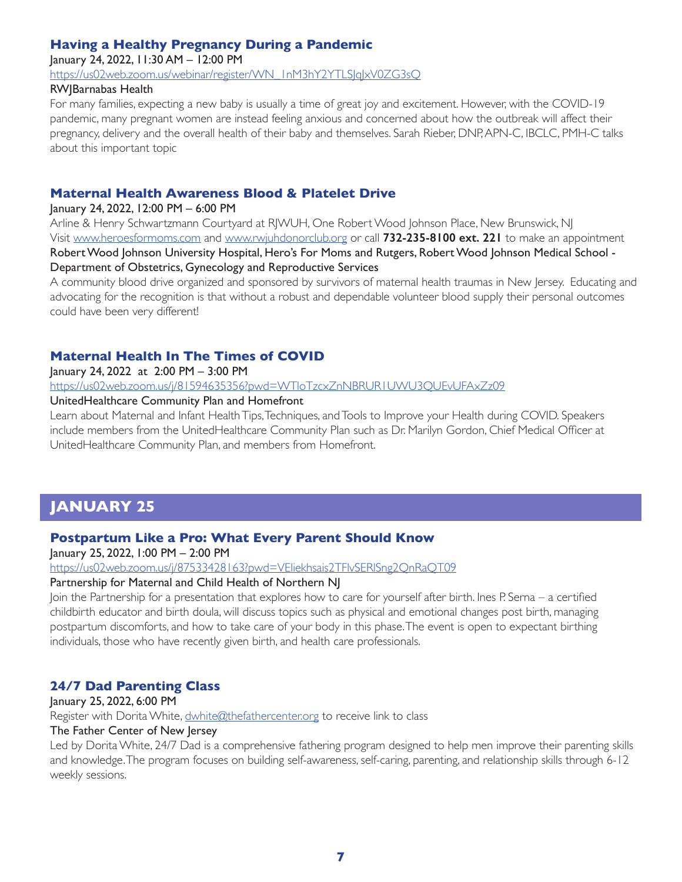## **Having a Healthy Pregnancy During a Pandemic**

January 24, 2022, 11:30 AM – 12:00 PM

[https://us02web.zoom.us/webinar/register/WN\\_1nM3hY2YTLSJqJxV0ZG3sQ](https://us02web.zoom.us/webinar/register/WN_1nM3hY2YTLSJqJxV0ZG3sQ)

#### RWJBarnabas Health

For many families, expecting a new baby is usually a time of great joy and excitement. However, with the COVID-19 pandemic, many pregnant women are instead feeling anxious and concerned about how the outbreak will affect their pregnancy, delivery and the overall health of their baby and themselves. Sarah Rieber, DNP, APN-C, IBCLC, PMH-C talks about this important topic

### **Maternal Health Awareness Blood & Platelet Drive**

#### January 24, 2022, 12:00 PM – 6:00 PM

Arline & Henry Schwartzmann Courtyard at R|WUH, One Robert Wood Johnson Place, New Brunswick, N| Visit [www.heroesformoms.com](https://heroesformoms.com/) and [www.rwjuhdonorclub.org](http://www.rwjuhdonorclub.org) or call **732-235-8100 ext. 221** to make an appointment Robert Wood Johnson University Hospital, Hero's For Moms and Rutgers, Robert Wood Johnson Medical School - Department of Obstetrics, Gynecology and Reproductive Services

A community blood drive organized and sponsored by survivors of maternal health traumas in New Jersey. Educating and advocating for the recognition is that without a robust and dependable volunteer blood supply their personal outcomes could have been very different!

## **Maternal Health In The Times of COVID**

January 24, 2022 at 2:00 PM – 3:00 PM

<https://us02web.zoom.us/j/81594635356?pwd=WTloTzcxZnNBRUR1UWU3QUEvUFAxZz09>

#### UnitedHealthcare Community Plan and Homefront

Learn about Maternal and Infant Health Tips, Techniques, and Tools to Improve your Health during COVID. Speakers include members from the UnitedHealthcare Community Plan such as Dr. Marilyn Gordon, Chief Medical Officer at UnitedHealthcare Community Plan, and members from Homefront.

## **JANUARY 25**

## **Postpartum Like a Pro: What Every Parent Should Know**

January 25, 2022, 1:00 PM – 2:00 PM

<https://us02web.zoom.us/j/87533428163?pwd=VEliekhsais2TFlvSERlSng2QnRaQT09>

#### Partnership for Maternal and Child Health of Northern NJ

Join the Partnership for a presentation that explores how to care for yourself after birth. Ines P. Serna – a certified childbirth educator and birth doula, will discuss topics such as physical and emotional changes post birth, managing postpartum discomforts, and how to take care of your body in this phase. The event is open to expectant birthing individuals, those who have recently given birth, and health care professionals.

## **24/7 Dad Parenting Class**

January 25, 2022, 6:00 PM Register with Dorita White, [dwhite@thefathercenter.org](mailto:dwhite@thefathercenter.org) to receive link to class

### The Father Center of New Jersey

Led by Dorita White, 24/7 Dad is a comprehensive fathering program designed to help men improve their parenting skills and knowledge. The program focuses on building self-awareness, self-caring, parenting, and relationship skills through 6-12 weekly sessions.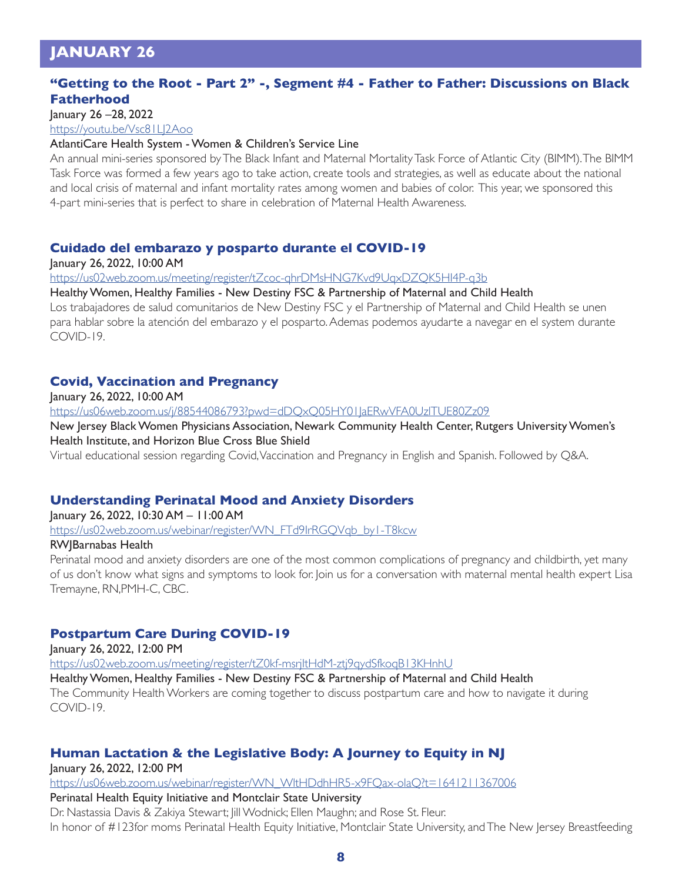## **JANUARY 26**

#### **"Getting to the Root - Part 2" -, Segment #4 - Father to Father: Discussions on Black Fatherhood**

January 26 –28, 2022

<https://youtu.be/Vsc81LJ2Aoo>

#### AtlantiCare Health System - Women & Children's Service Line

An annual mini-series sponsored by The Black Infant and Maternal Mortality Task Force of Atlantic City (BIMM). The BIMM Task Force was formed a few years ago to take action, create tools and strategies, as well as educate about the national and local crisis of maternal and infant mortality rates among women and babies of color. This year, we sponsored this 4-part mini-series that is perfect to share in celebration of Maternal Health Awareness.

#### **Cuidado del embarazo y posparto durante el COVID-19**

January 26, 2022, 10:00 AM

<https://us02web.zoom.us/meeting/register/tZcoc-qhrDMsHNG7Kvd9UqxDZQK5HI4P-q3b>

#### Healthy Women, Healthy Families - New Destiny FSC & Partnership of Maternal and Child Health

Los trabajadores de salud comunitarios de New Destiny FSC y el Partnership of Maternal and Child Health se unen para hablar sobre la atención del embarazo y el posparto. Ademas podemos ayudarte a navegar en el system durante COVID-19.

#### **Covid, Vaccination and Pregnancy**

January 26, 2022, 10:00 AM

<https://us06web.zoom.us/j/88544086793?pwd=dDQxQ05HY01JaERwVFA0UzlTUE80Zz09>

New Jersey Black Women Physicians Association, Newark Community Health Center, Rutgers University Women's Health Institute, and Horizon Blue Cross Blue Shield

Virtual educational session regarding Covid, Vaccination and Pregnancy in English and Spanish. Followed by Q&A.

#### **Understanding Perinatal Mood and Anxiety Disorders**

January 26, 2022, 10:30 AM – 11:00 AM [https://us02web.zoom.us/webinar/register/WN\\_FTd9IrRGQVqb\\_by1-T8kcw](https://us02web.zoom.us/webinar/register/WN_FTd9IrRGQVqb_by1-T8kcw) RWJBarnabas Health

Perinatal mood and anxiety disorders are one of the most common complications of pregnancy and childbirth, yet many of us don't know what signs and symptoms to look for. Join us for a conversation with maternal mental health expert Lisa Tremayne, RN,PMH-C, CBC.

#### **Postpartum Care During COVID-19**

January 26, 2022, 12:00 PM

<https://us02web.zoom.us/meeting/register/tZ0kf-msrjItHdM-ztj9qydSfkoqB13KHnhU>

Healthy Women, Healthy Families - New Destiny FSC & Partnership of Maternal and Child Health The Community Health Workers are coming together to discuss postpartum care and how to navigate it during

COVID-19.

## **Human Lactation & the Legislative Body: A Journey to Equity in NJ**

January 26, 2022, 12:00 PM

[https://us06web.zoom.us/webinar/register/WN\\_WltHDdhHR5-x9FQax-olaQ?t=1641211367006](https://us06web.zoom.us/webinar/register/WN_WltHDdhHR5-x9FQax-olaQ?t=1641211367006)

#### Perinatal Health Equity Initiative and Montclair State University

Dr. Nastassia Davis & Zakiya Stewart; Jill Wodnick; Ellen Maughn; and Rose St. Fleur. In honor of #123for moms Perinatal Health Equity Initiative, Montclair State University, and The New Jersey Breastfeeding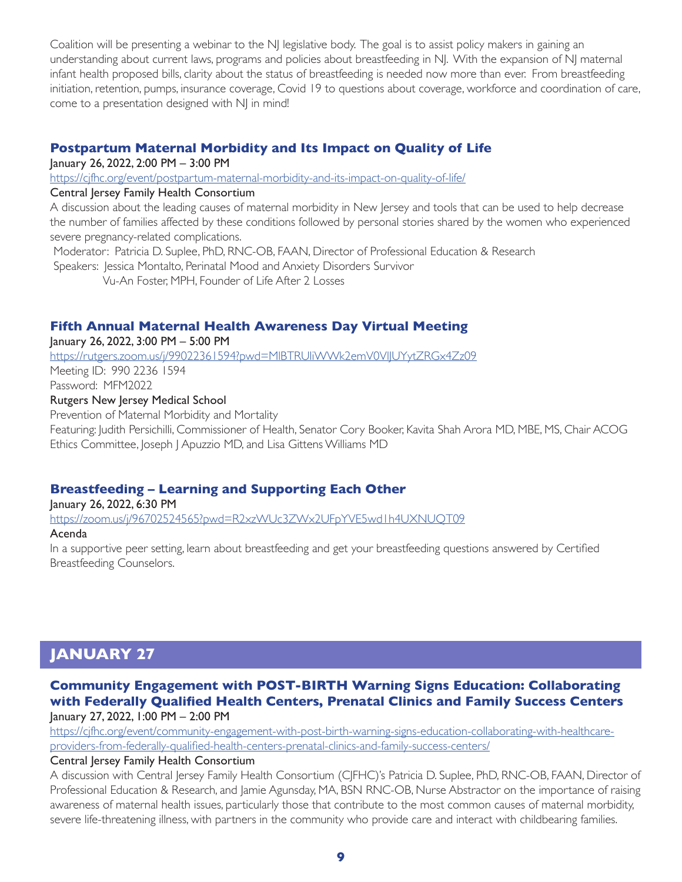Coalition will be presenting a webinar to the NJ legislative body. The goal is to assist policy makers in gaining an understanding about current laws, programs and policies about breastfeeding in NJ. With the expansion of NJ maternal infant health proposed bills, clarity about the status of breastfeeding is needed now more than ever. From breastfeeding initiation, retention, pumps, insurance coverage, Covid 19 to questions about coverage, workforce and coordination of care, come to a presentation designed with NJ in mind!

### **Postpartum Maternal Morbidity and Its Impact on Quality of Life**

January 26, 2022, 2:00 PM – 3:00 PM

<https://cjfhc.org/event/postpartum-maternal-morbidity-and-its-impact-on-quality-of-life/>

#### Central Jersey Family Health Consortium

A discussion about the leading causes of maternal morbidity in New Jersey and tools that can be used to help decrease the number of families affected by these conditions followed by personal stories shared by the women who experienced severe pregnancy-related complications.

Moderator: Patricia D. Suplee, PhD, RNC-OB, FAAN, Director of Professional Education & Research

Speakers: Jessica Montalto, Perinatal Mood and Anxiety Disorders Survivor

Vu-An Foster, MPH, Founder of Life After 2 Losses

## **Fifth Annual Maternal Health Awareness Day Virtual Meeting**

January 26, 2022, 3:00 PM – 5:00 PM

<https://rutgers.zoom.us/j/99022361594?pwd=MlBTRUliWWk2emV0VlJUYytZRGx4Zz09> Meeting ID: 990 2236 1594 Password: MFM2022 Rutgers New Jersey Medical School

Prevention of Maternal Morbidity and Mortality Featuring: Judith Persichilli, Commissioner of Health, Senator Cory Booker, Kavita Shah Arora MD, MBE, MS, Chair ACOG Ethics Committee, Joseph J Apuzzio MD, and Lisa Gittens Williams MD

## **Breastfeeding – Learning and Supporting Each Other**

January 26, 2022, 6:30 PM <https://zoom.us/j/96702524565?pwd=R2xzWUc3ZWx2UFpYVE5wd1h4UXNUQT09>

#### Acenda

In a supportive peer setting, learn about breastfeeding and get your breastfeeding questions answered by Certified Breastfeeding Counselors.

## **JANUARY 27**

#### **Community Engagement with POST-BIRTH Warning Signs Education: Collaborating with Federally Qualified Health Centers, Prenatal Clinics and Family Success Centers** January 27, 2022, 1:00 PM – 2:00 PM

[https://cjfhc.org/event/community-engagement-with-post-birth-warning-signs-education-collaborating-with-healthcare](https://cjfhc.org/event/community-engagement-with-post-birth-warning-signs-education-collaborating-with-healthcare-providers-from-federally-qualified-health-centers-prenatal-clinics-and-family-success-centers/)[providers-from-federally-qualified-health-centers-prenatal-clinics-and-family-success-centers/](https://cjfhc.org/event/community-engagement-with-post-birth-warning-signs-education-collaborating-with-healthcare-providers-from-federally-qualified-health-centers-prenatal-clinics-and-family-success-centers/)

#### Central Jersey Family Health Consortium

A discussion with Central Jersey Family Health Consortium (CJFHC)'s Patricia D. Suplee, PhD, RNC-OB, FAAN, Director of Professional Education & Research, and Jamie Agunsday, MA, BSN RNC-OB, Nurse Abstractor on the importance of raising awareness of maternal health issues, particularly those that contribute to the most common causes of maternal morbidity, severe life-threatening illness, with partners in the community who provide care and interact with childbearing families.